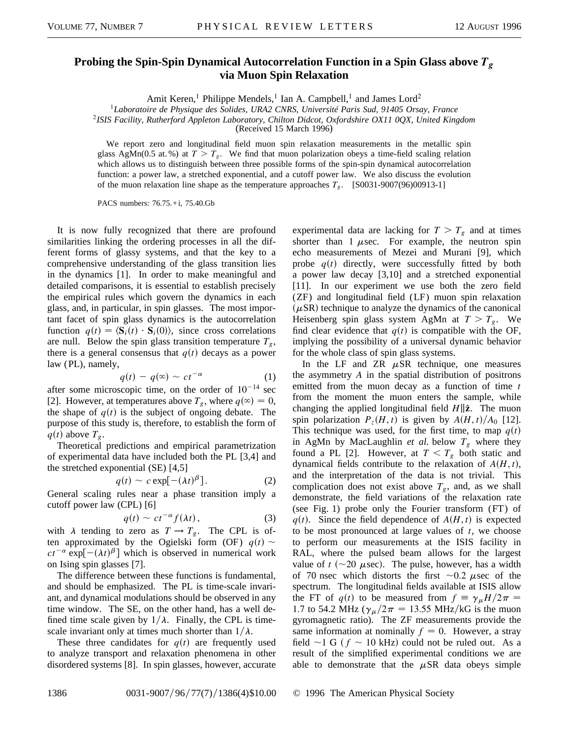## **Probing the Spin-Spin Dynamical Autocorrelation Function in a Spin Glass above** *Tg* **via Muon Spin Relaxation**

Amit Keren,<sup>1</sup> Philippe Mendels,<sup>1</sup> Ian A. Campbell,<sup>1</sup> and James Lord<sup>2</sup>

<sup>1</sup>*Laboratoire de Physique des Solides, URA2 CNRS, Université Paris Sud, 91405 Orsay, France*

<sup>2</sup>*ISIS Facility, Rutherford Appleton Laboratory, Chilton Didcot, Oxfordshire OX11 0QX, United Kingdom*

(Received 15 March 1996)

We report zero and longitudinal field muon spin relaxation measurements in the metallic spin glass AgMn(0.5 at. %) at  $T > T_g$ . We find that muon polarization obeys a time-field scaling relation which allows us to distinguish between three possible forms of the spin-spin dynamical autocorrelation function: a power law, a stretched exponential, and a cutoff power law. We also discuss the evolution of the muon relaxation line shape as the temperature approaches  $T_g$ . [S0031-9007(96)00913-1]

PACS numbers: 76.75.+i, 75.40.Gb

It is now fully recognized that there are profound similarities linking the ordering processes in all the different forms of glassy systems, and that the key to a comprehensive understanding of the glass transition lies in the dynamics [1]. In order to make meaningful and detailed comparisons, it is essential to establish precisely the empirical rules which govern the dynamics in each glass, and, in particular, in spin glasses. The most important facet of spin glass dynamics is the autocorrelation function  $q(t) = \langle \mathbf{S}_i(t) \cdot \mathbf{S}_i(0) \rangle$ , since cross correlations are null. Below the spin glass transition temperature  $T_{g}$ , there is a general consensus that  $q(t)$  decays as a power law (PL), namely,

$$
q(t) - q(\infty) \sim ct^{-\alpha} \tag{1}
$$

after some microscopic time, on the order of  $10^{-14}$  sec [2]. However, at temperatures above  $T_g$ , where  $q(\infty) = 0$ , the shape of  $q(t)$  is the subject of ongoing debate. The purpose of this study is, therefore, to establish the form of  $q(t)$  above  $T_g$ .

Theoretical predictions and empirical parametrization of experimental data have included both the PL [3,4] and the stretched exponential (SE) [4,5]

$$
q(t) \sim c \exp[-(\lambda t)^{\beta}]. \tag{2}
$$

General scaling rules near a phase transition imply a cutoff power law (CPL) [6]

$$
q(t) \sim ct^{-\alpha} f(\lambda t), \qquad (3)
$$

with  $\lambda$  tending to zero as  $T \rightarrow T_g$ . The CPL is often approximated by the Ogielski form (OF)  $q(t)$  ~  $ct^{-\alpha}$  exp[ $-(\lambda t)^{\beta}$ ] which is observed in numerical work on Ising spin glasses [7].

The difference between these functions is fundamental, and should be emphasized. The PL is time-scale invariant, and dynamical modulations should be observed in any time window. The SE, on the other hand, has a well defined time scale given by  $1/\lambda$ . Finally, the CPL is timescale invariant only at times much shorter than  $1/\lambda$ .

These three candidates for  $q(t)$  are frequently used to analyze transport and relaxation phenomena in other disordered systems [8]. In spin glasses, however, accurate

experimental data are lacking for  $T > T_g$  and at times shorter than  $1 \mu$ sec. For example, the neutron spin echo measurements of Mezei and Murani [9], which probe  $q(t)$  directly, were successfully fitted by both a power law decay [3,10] and a stretched exponential [11]. In our experiment we use both the zero field (ZF) and longitudinal field (LF) muon spin relaxation  $(\mu$ SR) technique to analyze the dynamics of the canonical Heisenberg spin glass system AgMn at  $T > T_g$ . We find clear evidence that  $q(t)$  is compatible with the OF, implying the possibility of a universal dynamic behavior for the whole class of spin glass systems.

In the LF and ZR  $\mu$ SR technique, one measures the asymmetry *A* in the spatial distribution of positrons emitted from the muon decay as a function of time *t* from the moment the muon enters the sample, while changing the applied longitudinal field  $H\parallel\hat{z}$ . The muon spin polarization  $P_z(H, t)$  is given by  $A(H, t)/A_0$  [12]. This technique was used, for the first time, to map  $q(t)$ in AgMn by MacLaughlin *et al.* below  $T_g$  where they found a PL [2]. However, at  $T < T_g$  both static and dynamical fields contribute to the relaxation of  $A(H, t)$ , and the interpretation of the data is not trivial. This complication does not exist above  $T_g$ , and, as we shall demonstrate, the field variations of the relaxation rate (see Fig. 1) probe only the Fourier transform  $(FT)$  of  $q(t)$ . Since the field dependence of  $A(H, t)$  is expected to be most pronounced at large values of *t*, we choose to perform our measurements at the ISIS facility in RAL, where the pulsed beam allows for the largest value of  $t$  ( $\sim$ 20  $\mu$ sec). The pulse, however, has a width of 70 nsec which distorts the first  $\sim 0.2$  *u*sec of the spectrum. The longitudinal fields available at ISIS allow the FT of  $q(t)$  to be measured from  $f = \gamma_{\mu} H/2\pi$  = 1.7 to 54.2 MHz ( $\gamma_{\mu}/2\pi$  = 13.55 MHz/kG is the muon gyromagnetic ratio). The ZF measurements provide the same information at nominally  $f = 0$ . However, a stray field  $\sim$ 1 G ( $f \sim$  10 kHz) could not be ruled out. As a result of the simplified experimental conditions we are able to demonstrate that the  $\mu$ SR data obeys simple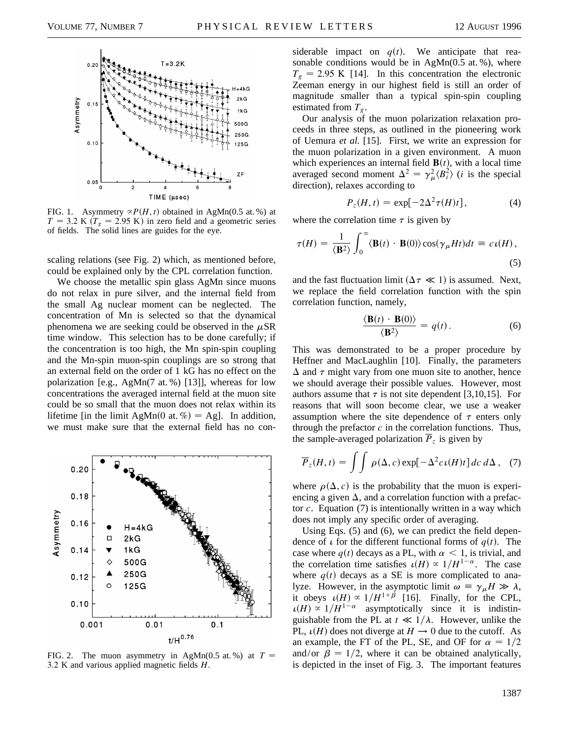

FIG. 1. Asymmetry  $\propto P(H, t)$  obtained in AgMn(0.5 at. %) at  $T = 3.2$  K  $(T<sub>g</sub> = 2.95$  K) in zero field and a geometric series of fields. The solid lines are guides for the eye.

scaling relations (see Fig. 2) which, as mentioned before, could be explained only by the CPL correlation function.

We choose the metallic spin glass AgMn since muons do not relax in pure silver, and the internal field from the small Ag nuclear moment can be neglected. The concentration of Mn is selected so that the dynamical phenomena we are seeking could be observed in the  $\mu$ SR time window. This selection has to be done carefully; if the concentration is too high, the Mn spin-spin coupling and the Mn-spin muon-spin couplings are so strong that an external field on the order of 1 kG has no effect on the polarization [e.g., AgMn(7 at. %) [13]], whereas for low concentrations the averaged internal field at the muon site could be so small that the muon does not relax within its lifetime [in the limit AgMn(0 at. %) = Ag]. In addition, we must make sure that the external field has no con-



FIG. 2. The muon asymmetry in AgMn(0.5 at. %) at  $T =$ 3.2 K and various applied magnetic fields *H*.

siderable impact on  $q(t)$ . We anticipate that reasonable conditions would be in  $AgMn(0.5 \text{ at. } \%)$ , where  $T_g$  = 2.95 K [14]. In this concentration the electronic Zeeman energy in our highest field is still an order of magnitude smaller than a typical spin-spin coupling estimated from  $T_g$ .

Our analysis of the muon polarization relaxation proceeds in three steps, as outlined in the pioneering work of Uemura *et al.* [15]. First, we write an expression for the muon polarization in a given environment. A muon which experiences an internal field  $\mathbf{B}(t)$ , with a local time averaged second moment  $\Delta^2 = \gamma_\mu^2 \langle B_i^2 \rangle$  (*i* is the special direction), relaxes according to

$$
P_z(H,t) = \exp[-2\Delta^2 \tau(H)t], \qquad (4)
$$

where the correlation time  $\tau$  is given by

$$
\tau(H) = \frac{1}{\langle \mathbf{B}^2 \rangle} \int_0^\infty \langle \mathbf{B}(t) \cdot \mathbf{B}(0) \rangle \cos(\gamma_\mu H t) dt = c \,\iota(H),\tag{5}
$$

and the fast fluctuation limit ( $\Delta \tau \ll 1$ ) is assumed. Next, we replace the field correlation function with the spin correlation function, namely,

$$
\frac{\langle \mathbf{B}(t) \cdot \mathbf{B}(0) \rangle}{\langle \mathbf{B}^2 \rangle} = q(t). \tag{6}
$$

This was demonstrated to be a proper procedure by Heffner and MacLaughlin [10]. Finally, the parameters  $\Delta$  and  $\tau$  might vary from one muon site to another, hence we should average their possible values. However, most authors assume that  $\tau$  is not site dependent [3,10,15]. For reasons that will soon become clear, we use a weaker assumption where the site dependence of  $\tau$  enters only through the prefactor  $c$  in the correlation functions. Thus, the sample-averaged polarization  $\overline{P}_z$  is given by

$$
\overline{P}_z(H,t) = \int \int \rho(\Delta,c) \exp[-\Delta^2 c \iota(H)t] \, dc \, d\Delta \,, \quad (7)
$$

where  $\rho(\Delta, c)$  is the probability that the muon is experiencing a given  $\Delta$ , and a correlation function with a prefactor *c*. Equation (7) is intentionally written in a way which does not imply any specific order of averaging.

Using Eqs. (5) and (6), we can predict the field dependence of  $\iota$  for the different functional forms of  $q(t)$ . The case where  $q(t)$  decays as a PL, with  $\alpha < 1$ , is trivial, and the correlation time satisfies  $\iota(H) \propto 1/H^{1-\alpha}$ . The case where  $q(t)$  decays as a SE is more complicated to analyze. However, in the asymptotic limit  $\omega = \gamma_{\mu}H \gg \lambda$ , it obeys  $\iota(H) \propto 1/H^{1+\beta}$  [16]. Finally, for the CPL,  $\mu(H) \propto 1/H^{1-\alpha}$  asymptotically since it is indistinguishable from the PL at  $t \ll 1/\lambda$ . However, unlike the PL,  $\iota(H)$  does not diverge at  $H \to 0$  due to the cutoff. As an example, the FT of the PL, SE, and OF for  $\alpha = 1/2$ and/or  $\beta = 1/2$ , where it can be obtained analytically, is depicted in the inset of Fig. 3. The important features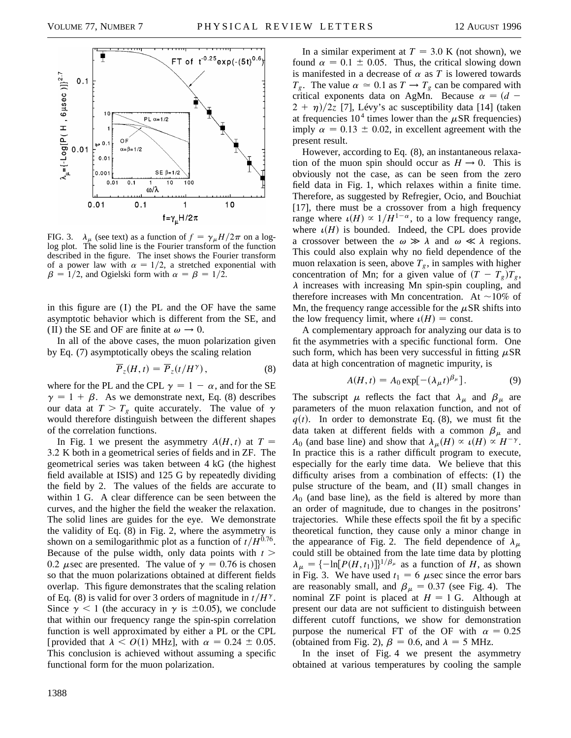

FIG. 3.  $\lambda_{\mu}$  (see text) as a function of  $f = \gamma_{\mu}H/2\pi$  on a loglog plot. The solid line is the Fourier transform of the function described in the figure. The inset shows the Fourier transform of a power law with  $\alpha = 1/2$ , a stretched exponential with  $\beta = 1/2$ , and Ogielski form with  $\alpha = \beta = 1/2$ .

in this figure are  $(I)$  the PL and the OF have the same asymptotic behavior which is different from the SE, and (II) the SE and OF are finite at  $\omega \rightarrow 0$ .

In all of the above cases, the muon polarization given by Eq. (7) asymptotically obeys the scaling relation

$$
\overline{P}_z(H,t) = \overline{P}_z(t/H^\gamma),\tag{8}
$$

where for the PL and the CPL  $\gamma = 1 - \alpha$ , and for the SE  $\gamma = 1 + \beta$ . As we demonstrate next, Eq. (8) describes our data at  $T > T_g$  quite accurately. The value of  $\gamma$ would therefore distinguish between the different shapes of the correlation functions.

In Fig. 1 we present the asymmetry  $A(H, t)$  at  $T =$ 3.2 K both in a geometrical series of fields and in ZF. The geometrical series was taken between 4 kG (the highest field available at ISIS) and 125 G by repeatedly dividing the field by 2. The values of the fields are accurate to within 1 G. A clear difference can be seen between the curves, and the higher the field the weaker the relaxation. The solid lines are guides for the eye. We demonstrate the validity of Eq. (8) in Fig. 2, where the asymmetry is shown on a semilogarithmic plot as a function of  $t/H^{0.76}$ . Because of the pulse width, only data points with  $t >$ 0.2  $\mu$ sec are presented. The value of  $\gamma = 0.76$  is chosen so that the muon polarizations obtained at different fields overlap. This figure demonstrates that the scaling relation of Eq. (8) is valid for over 3 orders of magnitude in  $t/H^{\gamma}$ . Since  $\gamma$  < 1 (the accuracy in  $\gamma$  is  $\pm$ 0.05), we conclude that within our frequency range the spin-spin correlation function is well approximated by either a PL or the CPL [provided that  $\lambda < O(1)$  MHz], with  $\alpha = 0.24 \pm 0.05$ . This conclusion is achieved without assuming a specific functional form for the muon polarization.

1388

In a similar experiment at  $T = 3.0$  K (not shown), we found  $\alpha = 0.1 \pm 0.05$ . Thus, the critical slowing down is manifested in a decrease of  $\alpha$  as  $T$  is lowered towards  $T_g$ . The value  $\alpha \approx 0.1$  as  $T \rightarrow T_g$  can be compared with critical exponents data on AgMn. Because  $\alpha = (d 2 + \eta$ /2*z* [7], Lévy's ac susceptibility data [14] (taken at frequencies  $10^4$  times lower than the  $\mu$ SR frequencies) imply  $\alpha = 0.13 \pm 0.02$ , in excellent agreement with the present result.

However, according to Eq. (8), an instantaneous relaxation of the muon spin should occur as  $H \to 0$ . This is obviously not the case, as can be seen from the zero field data in Fig. 1, which relaxes within a finite time. Therefore, as suggested by Refregier, Ocio, and Bouchiat [17], there must be a crossover from a high frequency range where  $\iota(H) \propto 1/H^{1-\alpha}$ , to a low frequency range, where  $\iota(H)$  is bounded. Indeed, the CPL does provide a crossover between the  $\omega \gg \lambda$  and  $\omega \ll \lambda$  regions. This could also explain why no field dependence of the muon relaxation is seen, above  $T_g$ , in samples with higher concentration of Mn; for a given value of  $(T - T_g)T_g$ ,  $\lambda$  increases with increasing Mn spin-spin coupling, and therefore increases with Mn concentration. At  $\sim$ 10% of Mn, the frequency range accessible for the  $\mu$ SR shifts into the low frequency limit, where  $\iota(H) = \text{const.}$ 

A complementary approach for analyzing our data is to fit the asymmetries with a specific functional form. One such form, which has been very successful in fitting  $\mu$ SR data at high concentration of magnetic impurity, is

$$
A(H, t) = A_0 \exp[-(\lambda_{\mu} t)^{\beta_{\mu}}]. \tag{9}
$$

The subscript  $\mu$  reflects the fact that  $\lambda_{\mu}$  and  $\beta_{\mu}$  are parameters of the muon relaxation function, and not of  $q(t)$ . In order to demonstrate Eq. (8), we must fit the data taken at different fields with a common  $\beta_{\mu}$  and *A*<sub>0</sub> (and base line) and show that  $\lambda_{\mu}(H) \propto \mu(H) \propto H^{-\gamma}$ . In practice this is a rather difficult program to execute, especially for the early time data. We believe that this difficulty arises from a combination of effects: (I) the pulse structure of the beam, and  $(II)$  small changes in *A*<sup>0</sup> (and base line), as the field is altered by more than an order of magnitude, due to changes in the positrons' trajectories. While these effects spoil the fit by a specific theoretical function, they cause only a minor change in the appearance of Fig. 2. The field dependence of  $\lambda_{\mu}$ could still be obtained from the late time data by plotting  $\lambda_{\mu} = \{-\ln[P(H, t_1)]\}^{1/\beta_{\mu}}$  as a function of *H*, as shown in Fig. 3. We have used  $t_1 = 6$   $\mu$ sec since the error bars are reasonably small, and  $\beta_{\mu} = 0.37$  (see Fig. 4). The nominal ZF point is placed at  $H = 1$  G. Although at present our data are not sufficient to distinguish between different cutoff functions, we show for demonstration purpose the numerical FT of the OF with  $\alpha = 0.25$ (obtained from Fig. 2),  $\beta = 0.6$ , and  $\lambda = 5$  MHz.

In the inset of Fig. 4 we present the asymmetry obtained at various temperatures by cooling the sample